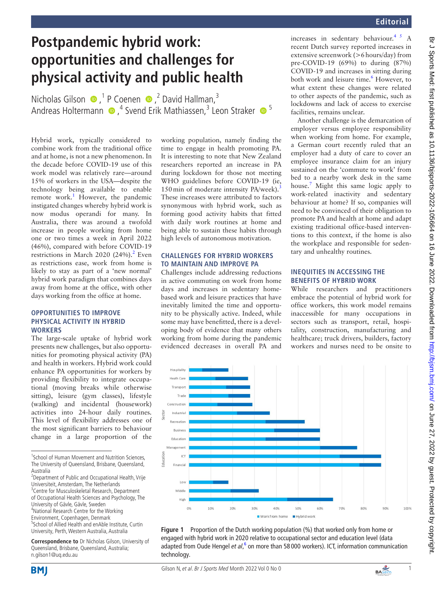# **Postpandemic hybrid work: opportunities and challenges for physical activity and public health**

NicholasGilson  $\bullet$ ,<sup>1</sup> P Coenen  $\bullet$ ,<sup>2</sup> David Hallman,<sup>3</sup> AndreasHoltermann  $\bullet$ ,<sup>4</sup> Svend Erik Mathiassen,<sup>3</sup> Leon Straker  $\bullet$ <sup>5</sup>

Hybrid work, typically considered to combine work from the traditional office and at home, is not a new phenomenon. In the decade before COVID-19 use of this work model was relatively rare—around 15% of workers in the USA—despite the technology being available to enable remote work.<sup>1</sup> However, the pandemic instigated changes whereby hybrid work is now modus operandi for many. In Australia, there was around a twofold increase in people working from home one or two times a week in April 2022 (46%), compared with before COVID-19 restrictions in March 2020  $(24%)$ .<sup>2</sup> Even as restrictions ease, work from home is likely to stay as part of a 'new normal' hybrid work paradigm that combines days away from home at the office, with other days working from the office at home.

#### **OPPORTUNITIES TO IMPROVE PHYSICAL ACTIVITY IN HYBRID WORKERS**

The large-scale uptake of hybrid work presents new challenges, but also opportunities for promoting physical activity (PA) and health in workers. Hybrid work could enhance PA opportunities for workers by providing flexibility to integrate occupational (moving breaks while otherwise sitting), leisure (gym classes), lifestyle (walking) and incidental (housework) activities into 24-hour daily routines. This level of flexibility addresses one of the most significant barriers to behaviour change in a large proportion of the

- <sup>1</sup>School of Human Movement and Nutrition Sciences, The University of Queensland, Brisbane, Queensland, Australia
- <sup>2</sup> Department of Public and Occupational Health, Vrije Universiteit, Amsterdam, The Netherlands <sup>3</sup> Centre for Musculoskeletal Research, Department
- of Occupational Health Sciences and Psychology, The University of Gävle, Gävle, Sweden
- 4 National Research Centre for the Working Environment, Copenhagen, Denmark
- 5 School of Allied Health and enAble Institute, Curtin University, Perth, Western Australia, Australia

**Correspondence to** Dr Nicholas Gilson, University of Queensland, Brisbane, Queensland, Australia; n.gilson1@uq.edu.au

working population, namely finding the time to engage in health promoting PA. It is interesting to note that New Zealand researchers reported an increase in PA during lockdown for those not meeting WHO guidelines before COVID-19 (ie, 150 min of moderate intensity PA/week).<sup>3</sup> These increases were attributed to factors synonymous with hybrid work, such as forming good activity habits that fitted with daily work routines at home and being able to sustain these habits through high levels of autonomous motivation.

## **CHALLENGES FOR HYBRID WORKERS TO MAINTAIN AND IMPROVE PA**

Challenges include addressing reductions in active commuting on work from home days and increases in sedentary homebased work and leisure practices that have inevitably limited the time and opportunity to be physically active. Indeed, while some may have benefitted, there is a developing body of evidence that many others working from home during the pandemic evidenced decreases in overall PA and increases in sedentary behaviour.<sup>4 5</sup> A recent Dutch survey reported increases in extensive screenwork (>6hours/day) from pre-COVID-19 (69%) to during (87%) COVID-19 and increases in sitting during both work and leisure time.<sup>[6](#page-1-4)</sup> However, to what extent these changes were related to other aspects of the pandemic, such as lockdowns and lack of access to exercise facilities, remains unclear.

Another challenge is the demarcation of employer versus employee responsibility when working from home. For example, a German court recently ruled that an employer had a duty of care to cover an employee insurance claim for an injury sustained on the 'commute to work' from bed to a nearby work desk in the same house[.7](#page-1-5) Might this same logic apply to work-related inactivity and sedentary behaviour at home? If so, companies will need to be convinced of their obligation to promote PA and health at home and adapt existing traditional office-based interventions to this context, if the home is also the workplace and responsible for sedentary and unhealthy routines.

### **INEQUITIES IN ACCESSING THE BENEFITS OF HYBRID WORK**

While researchers and practitioners embrace the potential of hybrid work for office workers, this work model remains inaccessible for many occupations in sectors such as transport, retail, hospitality, construction, manufacturing and healthcare; truck drivers, builders, factory workers and nurses need to be onsite to

Br J Sports Med: first published as 10.1136/bjsports-2022-105664 on 16 June 2022. Downloaded from http://bjsm.bmj.com/ on June 27, 2022 by guest. Protected by copyright Br J Sports Med: first published as 10.1136/bjsports-2022-105664 on 16 June 2022. Downloaded from <http://bjsm.bmj.com/> on June 27, 2022 by guest. Protected by copyright.



<span id="page-0-0"></span>